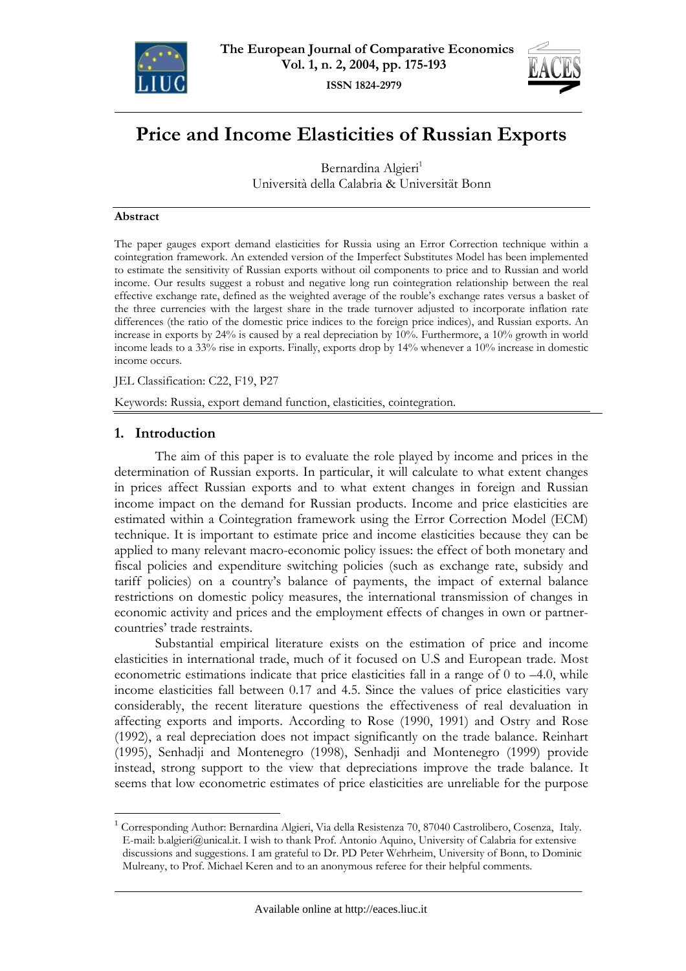



# **Price and Income Elasticities of Russian Exports**

Bernardina Algieri<sup>1</sup> Università della Calabria & Universität Bonn

#### **Abstract**

The paper gauges export demand elasticities for Russia using an Error Correction technique within a cointegration framework. An extended version of the Imperfect Substitutes Model has been implemented to estimate the sensitivity of Russian exports without oil components to price and to Russian and world income. Our results suggest a robust and negative long run cointegration relationship between the real effective exchange rate, defined as the weighted average of the rouble's exchange rates versus a basket of the three currencies with the largest share in the trade turnover adjusted to incorporate inflation rate differences (the ratio of the domestic price indices to the foreign price indices), and Russian exports. An increase in exports by 24% is caused by a real depreciation by 10%. Furthermore, a 10% growth in world income leads to a 33% rise in exports. Finally, exports drop by 14% whenever a 10% increase in domestic income occurs.

JEL Classification: C22, F19, P27

Keywords: Russia, export demand function, elasticities, cointegration.

# **1. Introduction**

 $\overline{a}$ 

The aim of this paper is to evaluate the role played by income and prices in the determination of Russian exports. In particular, it will calculate to what extent changes in prices affect Russian exports and to what extent changes in foreign and Russian income impact on the demand for Russian products. Income and price elasticities are estimated within a Cointegration framework using the Error Correction Model (ECM) technique. It is important to estimate price and income elasticities because they can be applied to many relevant macro-economic policy issues: the effect of both monetary and fiscal policies and expenditure switching policies (such as exchange rate, subsidy and tariff policies) on a country's balance of payments, the impact of external balance restrictions on domestic policy measures, the international transmission of changes in economic activity and prices and the employment effects of changes in own or partnercountries' trade restraints.

Substantial empirical literature exists on the estimation of price and income elasticities in international trade, much of it focused on U.S and European trade. Most econometric estimations indicate that price elasticities fall in a range of 0 to –4.0, while income elasticities fall between 0.17 and 4.5. Since the values of price elasticities vary considerably, the recent literature questions the effectiveness of real devaluation in affecting exports and imports. According to Rose (1990, 1991) and Ostry and Rose (1992), a real depreciation does not impact significantly on the trade balance. Reinhart (1995), Senhadji and Montenegro (1998), Senhadji and Montenegro (1999) provide instead, strong support to the view that depreciations improve the trade balance. It seems that low econometric estimates of price elasticities are unreliable for the purpose

<sup>1</sup> Corresponding Author: Bernardina Algieri, Via della Resistenza 70, 87040 Castrolibero, Cosenza, Italy. E-mail: b.algieri@unical.it. I wish to thank Prof. Antonio Aquino, University of Calabria for extensive discussions and suggestions. I am grateful to Dr. PD Peter Wehrheim, University of Bonn, to Dominic Mulreany, to Prof. Michael Keren and to an anonymous referee for their helpful comments.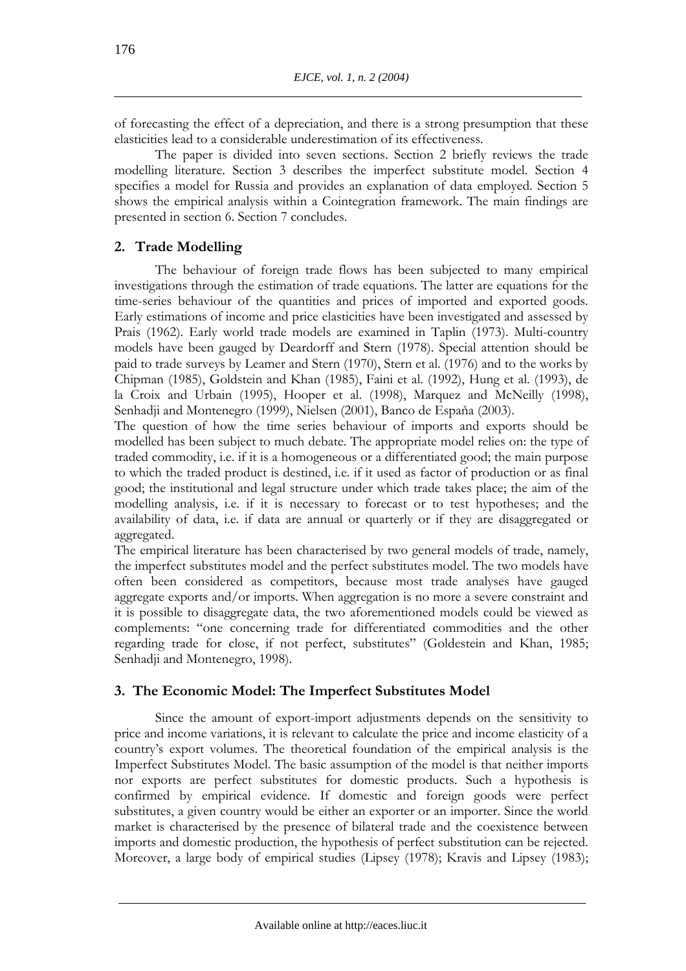of forecasting the effect of a depreciation, and there is a strong presumption that these elasticities lead to a considerable underestimation of its effectiveness.

The paper is divided into seven sections. Section 2 briefly reviews the trade modelling literature. Section 3 describes the imperfect substitute model. Section 4 specifies a model for Russia and provides an explanation of data employed. Section 5 shows the empirical analysis within a Cointegration framework. The main findings are presented in section 6. Section 7 concludes.

# **2. Trade Modelling**

The behaviour of foreign trade flows has been subjected to many empirical investigations through the estimation of trade equations*.* The latter are equations for the time-series behaviour of the quantities and prices of imported and exported goods. Early estimations of income and price elasticities have been investigated and assessed by Prais (1962). Early world trade models are examined in Taplin (1973). Multi-country models have been gauged by Deardorff and Stern (1978). Special attention should be paid to trade surveys by Leamer and Stern (1970), Stern et al. (1976) and to the works by Chipman (1985), Goldstein and Khan (1985), Faini et al. (1992), Hung et al. (1993), de la Croix and Urbain (1995), Hooper et al. (1998), Marquez and McNeilly (1998), Senhadji and Montenegro (1999), Nielsen (2001), Banco de Espaňa (2003).

The question of how the time series behaviour of imports and exports should be modelled has been subject to much debate. The appropriate model relies on: the type of traded commodity, i.e. if it is a homogeneous or a differentiated good; the main purpose to which the traded product is destined, i.e. if it used as factor of production or as final good; the institutional and legal structure under which trade takes place; the aim of the modelling analysis, i.e. if it is necessary to forecast or to test hypotheses; and the availability of data, i.e. if data are annual or quarterly or if they are disaggregated or aggregated.

The empirical literature has been characterised by two general models of trade, namely, the imperfect substitutes model and the perfect substitutes model. The two models have often been considered as competitors, because most trade analyses have gauged aggregate exports and/or imports. When aggregation is no more a severe constraint and it is possible to disaggregate data, the two aforementioned models could be viewed as complements: "one concerning trade for differentiated commodities and the other regarding trade for close, if not perfect, substitutes" (Goldestein and Khan, 1985; Senhadji and Montenegro, 1998).

# **3. The Economic Model: The Imperfect Substitutes Model**

Since the amount of export-import adjustments depends on the sensitivity to price and income variations, it is relevant to calculate the price and income elasticity of a country's export volumes. The theoretical foundation of the empirical analysis is the Imperfect Substitutes Model. The basic assumption of the model is that neither imports nor exports are perfect substitutes for domestic products. Such a hypothesis is confirmed by empirical evidence. If domestic and foreign goods were perfect substitutes, a given country would be either an exporter or an importer. Since the world market is characterised by the presence of bilateral trade and the coexistence between imports and domestic production, the hypothesis of perfect substitution can be rejected. Moreover, a large body of empirical studies (Lipsey (1978); Kravis and Lipsey (1983);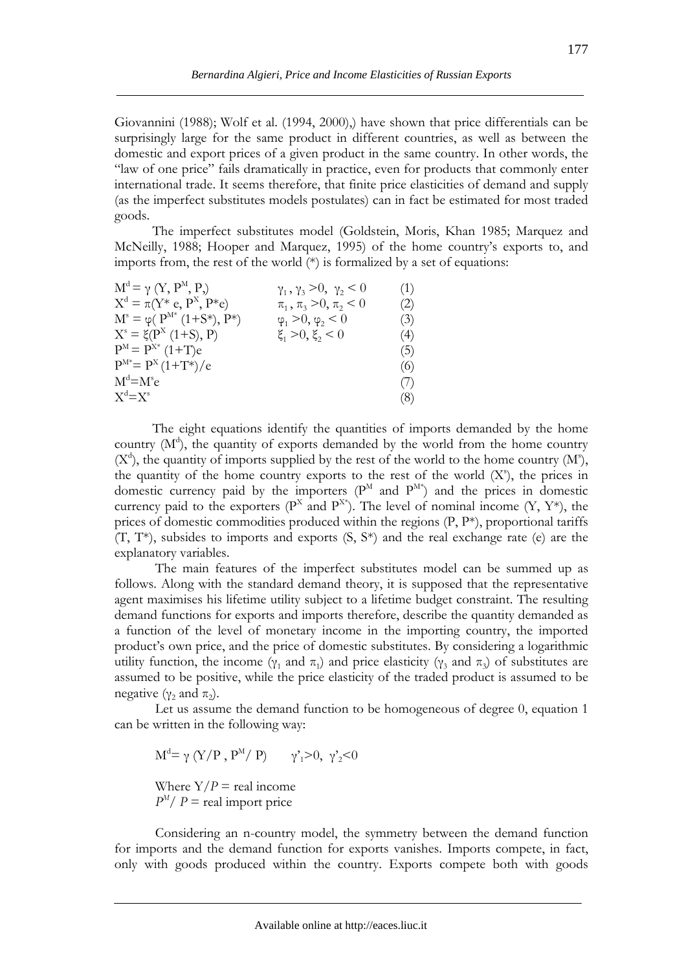Giovannini (1988); Wolf et al. (1994, 2000),) have shown that price differentials can be surprisingly large for the same product in different countries, as well as between the domestic and export prices of a given product in the same country. In other words, the "law of one price" fails dramatically in practice, even for products that commonly enter international trade. It seems therefore, that finite price elasticities of demand and supply (as the imperfect substitutes models postulates) can in fact be estimated for most traded goods.

 The imperfect substitutes model (Goldstein, Moris, Khan 1985; Marquez and McNeilly, 1988; Hooper and Marquez, 1995) of the home country's exports to, and imports from, the rest of the world (\*) is formalized by a set of equations:

| $M^d = \gamma$ $(Y, P^M, P)$<br>$\gamma_1, \gamma_3 > 0, \gamma_2 < 0$ | (1) |
|------------------------------------------------------------------------|-----|
| $X^d = \pi(Y^* e, P^X, P^* e)$<br>$\pi_1, \pi_3 > 0, \pi_2 < 0$        | (2) |
| $M^s = \varphi(P^{M*} (1+S^*), P^*)$<br>$\varphi_1 > 0, \varphi_2 < 0$ | (3) |
| $X^s = \xi(P^X(1+S), P)$<br>$\xi_1 > 0, \xi_2 < 0$                     | (4) |
| $P^{M} = P^{X*} (1+T)e$                                                | (5) |
| $P^{M*}=P^{X}(1+T^{*})/e$                                              | (6) |
| $M^d = M^s e$                                                          | (7) |
| $X^d = X^s$                                                            | (8) |

 The eight equations identify the quantities of imports demanded by the home country  $(M<sup>d</sup>)$ , the quantity of exports demanded by the world from the home country  $(X<sup>d</sup>)$ , the quantity of imports supplied by the rest of the world to the home country  $(M<sup>s</sup>)$ , the quantity of the home country exports to the rest of the world  $(X^s)$ , the prices in domestic currency paid by the importers  $(P^M$  and  $P^{M*}$ ) and the prices in domestic currency paid to the exporters ( $P^X$  and  $P^{X*}$ ). The level of nominal income (Y, Y\*), the prices of domestic commodities produced within the regions  $(P, P^*)$ , proportional tariffs (T, T\*), subsides to imports and exports (S, S\*) and the real exchange rate (e) are the explanatory variables.

The main features of the imperfect substitutes model can be summed up as follows. Along with the standard demand theory, it is supposed that the representative agent maximises his lifetime utility subject to a lifetime budget constraint. The resulting demand functions for exports and imports therefore, describe the quantity demanded as a function of the level of monetary income in the importing country, the imported product's own price, and the price of domestic substitutes. By considering a logarithmic utility function, the income ( $γ_1$  and  $π_1$ ) and price elasticity ( $γ_3$  and  $π_3$ ) of substitutes are assumed to be positive, while the price elasticity of the traded product is assumed to be negative ( $γ_2$  and  $π_2$ ).

Let us assume the demand function to be homogeneous of degree 0, equation 1 can be written in the following way:

 $M^{d} = \gamma (Y/P, P^{M}/P)$   $\gamma_1 > 0, \gamma_2 < 0$ 

Where  $Y/P =$  real income  $P^{M}/P$  = real import price

Considering an n-country model, the symmetry between the demand function for imports and the demand function for exports vanishes. Imports compete, in fact, only with goods produced within the country. Exports compete both with goods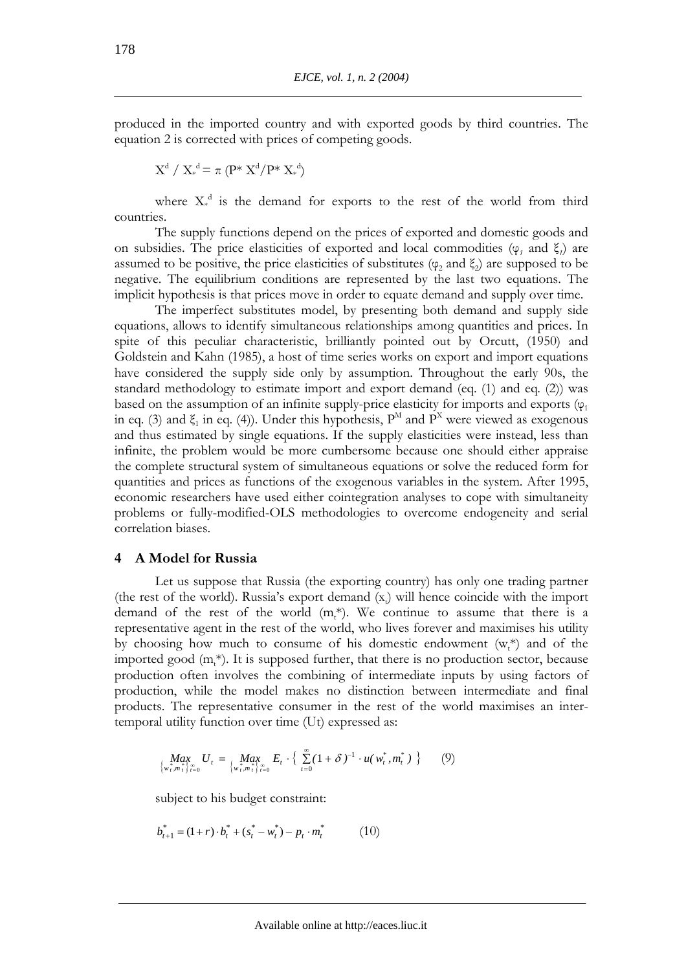produced in the imported country and with exported goods by third countries. The equation 2 is corrected with prices of competing goods.

$$
X^d\;/\;X_*^{\;d} \!= \pi\;(P^*\;X^d\!/P^*\;X_*^{\;d})
$$

where  $X^d$  is the demand for exports to the rest of the world from third countries.

The supply functions depend on the prices of exported and domestic goods and on subsidies. The price elasticities of exported and local commodities ( $\varphi$ <sub>*i*</sub> and  $\xi$ <sub>*i*</sub>) are assumed to be positive, the price elasticities of substitutes ( $\varphi$ , and  $\xi$ ) are supposed to be negative. The equilibrium conditions are represented by the last two equations. The implicit hypothesis is that prices move in order to equate demand and supply over time.

The imperfect substitutes model, by presenting both demand and supply side equations, allows to identify simultaneous relationships among quantities and prices. In spite of this peculiar characteristic, brilliantly pointed out by Orcutt, (1950) and Goldstein and Kahn (1985), a host of time series works on export and import equations have considered the supply side only by assumption. Throughout the early 90s, the standard methodology to estimate import and export demand (eq. (1) and eq. (2)) was based on the assumption of an infinite supply-price elasticity for imports and exports ( $\varphi_1$ ) in eq. (3) and  $\xi_1$  in eq. (4)). Under this hypothesis,  $P^M$  and  $P^X$  were viewed as exogenous and thus estimated by single equations. If the supply elasticities were instead, less than infinite, the problem would be more cumbersome because one should either appraise the complete structural system of simultaneous equations or solve the reduced form for quantities and prices as functions of the exogenous variables in the system. After 1995, economic researchers have used either cointegration analyses to cope with simultaneity problems or fully-modified-OLS methodologies to overcome endogeneity and serial correlation biases.

#### **4 A Model for Russia**

Let us suppose that Russia (the exporting country) has only one trading partner (the rest of the world). Russia's export demand  $(x<sub>t</sub>)$  will hence coincide with the import demand of the rest of the world  $(m_t^*)$ . We continue to assume that there is a representative agent in the rest of the world, who lives forever and maximises his utility by choosing how much to consume of his domestic endowment  $(w_t^*)$  and of the imported good  $(m_t^*)$ . It is supposed further, that there is no production sector, because production often involves the combining of intermediate inputs by using factors of production, while the model makes no distinction between intermediate and final products. The representative consumer in the rest of the world maximises an intertemporal utility function over time (Ut) expressed as:

$$
\underset{\{w_t^*, m_t^*\}_{t=0}^{\infty}}{\text{Max}} U_t = \underset{\{w_t^*, m_t^*\}_{t=0}^{\infty}}{\text{Max}} E_t \cdot \left\{ \sum_{t=0}^{\infty} (1+\delta)^{-1} \cdot u(w_t^*, m_t^*) \right\} \tag{9}
$$

subject to his budget constraint:

$$
b_{t+1}^* = (1+r) \cdot b_t^* + (s_t^* - w_t^*) - p_t \cdot m_t^* \tag{10}
$$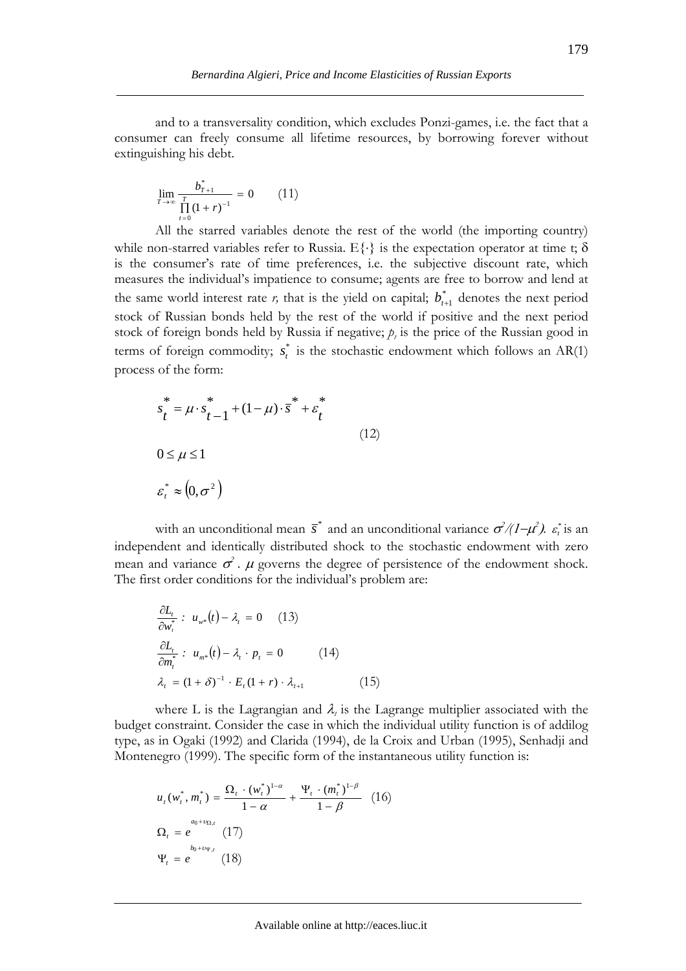and to a transversality condition, which excludes Ponzi-games, i.e. the fact that a consumer can freely consume all lifetime resources, by borrowing forever without extinguishing his debt.

$$
\lim_{T \to \infty} \frac{b_{T+1}^*}{\prod_{t=0}^T (1+r)^{-1}} = 0 \qquad (11)
$$

All the starred variables denote the rest of the world (the importing country) while non-starred variables refer to Russia.  $E\{\cdot\}$  is the expectation operator at time t;  $\delta$ is the consumer's rate of time preferences, i.e. the subjective discount rate, which measures the individual's impatience to consume; agents are free to borrow and lend at the same world interest rate *r*, that is the yield on capital;  $b_{t+1}^*$  denotes the next period stock of Russian bonds held by the rest of the world if positive and the next period stock of foreign bonds held by Russia if negative;  $p_t$  is the price of the Russian good in terms of foreign commodity;  $s_t^*$  is the stochastic endowment which follows an AR(1) process of the form:

$$
s_t^* = \mu \cdot s_{t-1}^* + (1 - \mu) \cdot \overline{s}^* + \varepsilon_t^*
$$
  

$$
0 \le \mu \le 1
$$
  

$$
\varepsilon_t^* \approx (0, \sigma^2)
$$
 (12)

with an unconditional mean  $\bar{s}^*$  and an unconditional variance  $\sigma^2/(1-\mu^2)$ .  $\varepsilon^*$  is an independent and identically distributed shock to the stochastic endowment with zero mean and variance  $\sigma^2$ .  $\mu$  governs the degree of persistence of the endowment shock. The first order conditions for the individual's problem are:

$$
\frac{\partial L_t}{\partial w_t^*}: u_{w^*}(t) - \lambda_t = 0 \quad (13)
$$
  

$$
\frac{\partial L_t}{\partial m_t^*}: u_{m^*}(t) - \lambda_t \cdot p_t = 0 \quad (14)
$$
  

$$
\lambda_t = (1 + \delta)^{-1} \cdot E_t (1 + r) \cdot \lambda_{t+1} \quad (15)
$$

where L is the Lagrangian and  $\lambda_i$  is the Lagrange multiplier associated with the budget constraint. Consider the case in which the individual utility function is of addilog type, as in Ogaki (1992) and Clarida (1994), de la Croix and Urban (1995), Senhadji and Montenegro (1999). The specific form of the instantaneous utility function is:

$$
u_{t}(w_{t}^{*}, m_{t}^{*}) = \frac{\Omega_{t} \cdot (w_{t}^{*})^{1-\alpha}}{1-\alpha} + \frac{\Psi_{t} \cdot (m_{t}^{*})^{1-\beta}}{1-\beta}
$$
 (16)  

$$
\Omega_{t} = e^{\alpha_{0} + \nu_{\Omega, t}}
$$
 (17)  

$$
\Psi_{t} = e^{\nu_{0} + \nu_{\Psi, t}}
$$
 (18)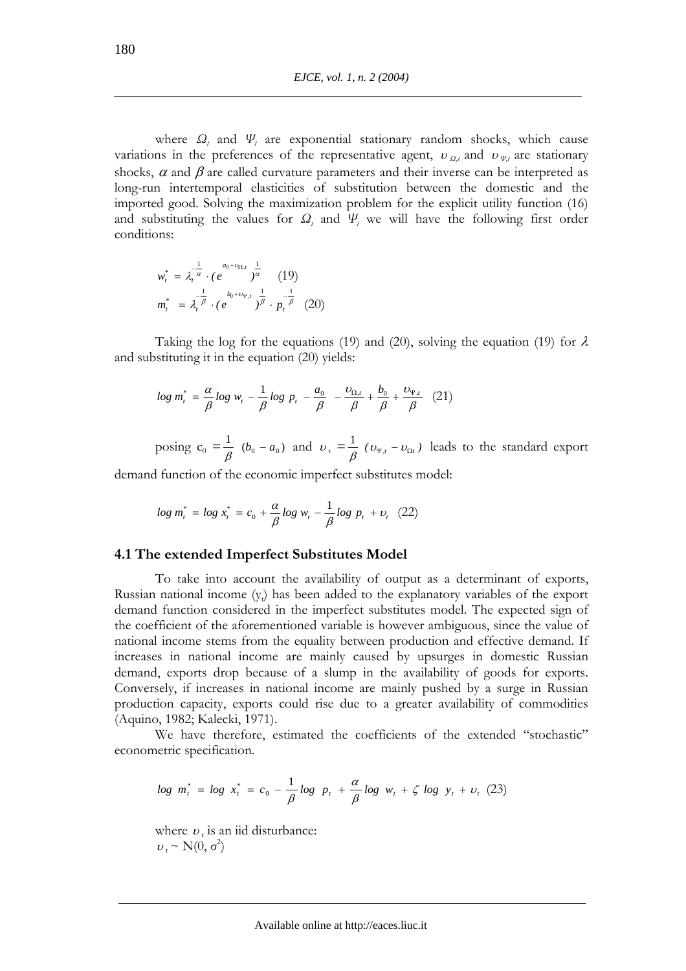where *Ω<sup>t</sup>* and *Ψ<sup>t</sup>* are exponential stationary random shocks, which cause variations in the preferences of the representative agent,  $v_{Q,t}$  and  $v_{\Psi,t}$  are stationary shocks,  $\alpha$  and  $\beta$  are called curvature parameters and their inverse can be interpreted as long-run intertemporal elasticities of substitution between the domestic and the imported good. Solving the maximization problem for the explicit utility function (16) and substituting the values for  $\Omega_t$  and  $\Psi_t$  we will have the following first order conditions:

$$
w_t^* = \lambda_t^{-\frac{1}{\alpha}} \cdot (e^{a_0 + v_{\Omega,t}})^{\frac{1}{\alpha}} \quad (19)
$$
  

$$
m_t^* = \lambda_t^{-\frac{1}{\beta}} \cdot (e^{b_0 + v_{\Psi,t}})^{\frac{1}{\beta}} \cdot p_t^{-\frac{1}{\beta}} \quad (20)
$$

Taking the log for the equations (19) and (20), solving the equation (19) for  $\lambda$ and substituting it in the equation (20) yields:

$$
log\ m_{t}^{*} = \frac{\alpha}{\beta} log\ w_{t} - \frac{1}{\beta} log\ p_{t} - \frac{a_{0}}{\beta} - \frac{\upsilon_{\Omega,t}}{\beta} + \frac{b_{0}}{\beta} + \frac{\upsilon_{\Psi,t}}{\beta} \quad (21)
$$

posing  $c_0 = \frac{1}{\beta}$  ( $b_0 - a_0$ ) and  $v_t = \frac{1}{\beta}$  ( $v_{\Psi,t} - v_{\Omega t}$ ) leads to the standard export

demand function of the economic imperfect substitutes model:

$$
log\ m_{t}^{*} = log\ x_{t}^{*} = c_{0} + \frac{\alpha}{\beta} log\ w_{t} - \frac{1}{\beta} log\ p_{t} + v_{t} \ (22)
$$

# **4.1 The extended Imperfect Substitutes Model**

To take into account the availability of output as a determinant of exports, Russian national income  $(y_t)$  has been added to the explanatory variables of the export demand function considered in the imperfect substitutes model. The expected sign of the coefficient of the aforementioned variable is however ambiguous, since the value of national income stems from the equality between production and effective demand. If increases in national income are mainly caused by upsurges in domestic Russian demand, exports drop because of a slump in the availability of goods for exports. Conversely, if increases in national income are mainly pushed by a surge in Russian production capacity, exports could rise due to a greater availability of commodities (Aquino, 1982; Kalecki, 1971).

We have therefore, estimated the coefficients of the extended "stochastic" econometric specification.

$$
log \ m_t^* = log \ x_t^* = c_0 - \frac{1}{\beta} log \ p_t + \frac{\alpha}{\beta} log \ w_t + \zeta log \ y_t + v_t (23)
$$

where  $v_t$  is an iid disturbance:  $v_t \sim N(0, \sigma^2)$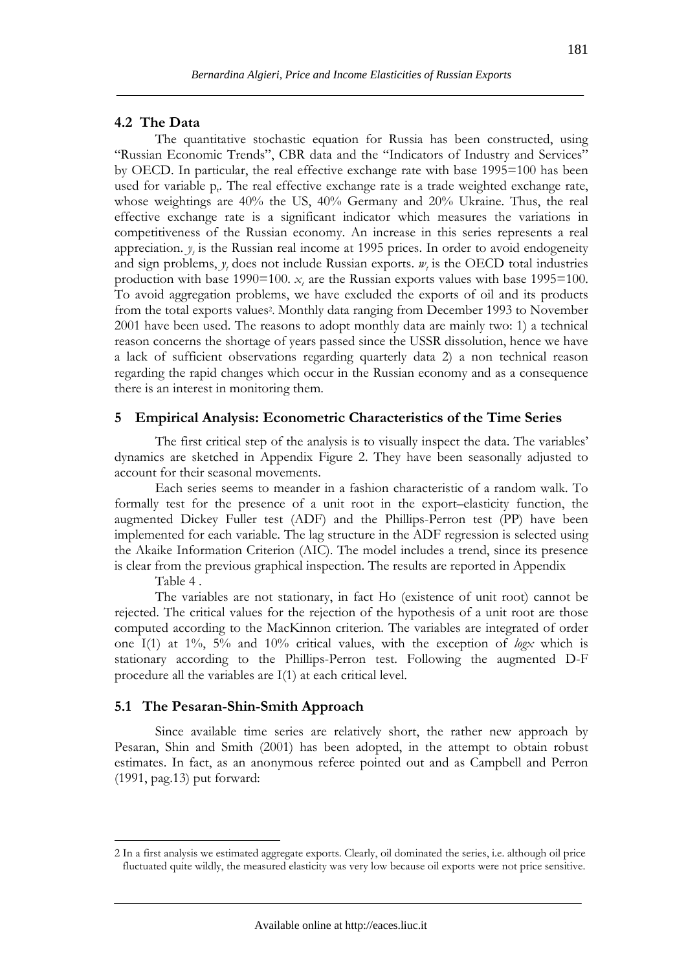# **4.2 The Data**

The quantitative stochastic equation for Russia has been constructed, using "Russian Economic Trends", CBR data and the "Indicators of Industry and Services" by OECD. In particular, the real effective exchange rate with base 1995=100 has been used for variable  $p_t$ . The real effective exchange rate is a trade weighted exchange rate, whose weightings are 40% the US, 40% Germany and 20% Ukraine. Thus, the real effective exchange rate is a significant indicator which measures the variations in competitiveness of the Russian economy. An increase in this series represents a real appreciation.  $y_t$  is the Russian real income at 1995 prices. In order to avoid endogeneity and sign problems,  $y_t$  does not include Russian exports.  $w_t$  is the OECD total industries production with base  $1990=100$ .  $x<sub>i</sub>$  are the Russian exports values with base  $1995=100$ . To avoid aggregation problems, we have excluded the exports of oil and its products from the total exports values2. Monthly data ranging from December 1993 to November 2001 have been used. The reasons to adopt monthly data are mainly two: 1) a technical reason concerns the shortage of years passed since the USSR dissolution, hence we have a lack of sufficient observations regarding quarterly data 2) a non technical reason regarding the rapid changes which occur in the Russian economy and as a consequence there is an interest in monitoring them.

#### **5 Empirical Analysis: Econometric Characteristics of the Time Series**

The first critical step of the analysis is to visually inspect the data. The variables' dynamics are sketched in Appendix Figure 2. They have been seasonally adjusted to account for their seasonal movements.

Each series seems to meander in a fashion characteristic of a random walk. To formally test for the presence of a unit root in the export–elasticity function, the augmented Dickey Fuller test (ADF) and the Phillips-Perron test (PP) have been implemented for each variable. The lag structure in the ADF regression is selected using the Akaike Information Criterion (AIC). The model includes a trend, since its presence is clear from the previous graphical inspection. The results are reported in Appendix

Table 4 .

 $\overline{a}$ 

The variables are not stationary, in fact Ho (existence of unit root) cannot be rejected. The critical values for the rejection of the hypothesis of a unit root are those computed according to the MacKinnon criterion. The variables are integrated of order one I(1) at 1%, 5% and 10% critical values, with the exception of *logx* which is stationary according to the Phillips-Perron test. Following the augmented D-F procedure all the variables are I(1) at each critical level.

#### **5.1 The Pesaran-Shin-Smith Approach**

Since available time series are relatively short, the rather new approach by Pesaran, Shin and Smith (2001) has been adopted, in the attempt to obtain robust estimates. In fact, as an anonymous referee pointed out and as Campbell and Perron (1991, pag.13) put forward:

<sup>2</sup> In a first analysis we estimated aggregate exports. Clearly, oil dominated the series, i.e. although oil price fluctuated quite wildly, the measured elasticity was very low because oil exports were not price sensitive.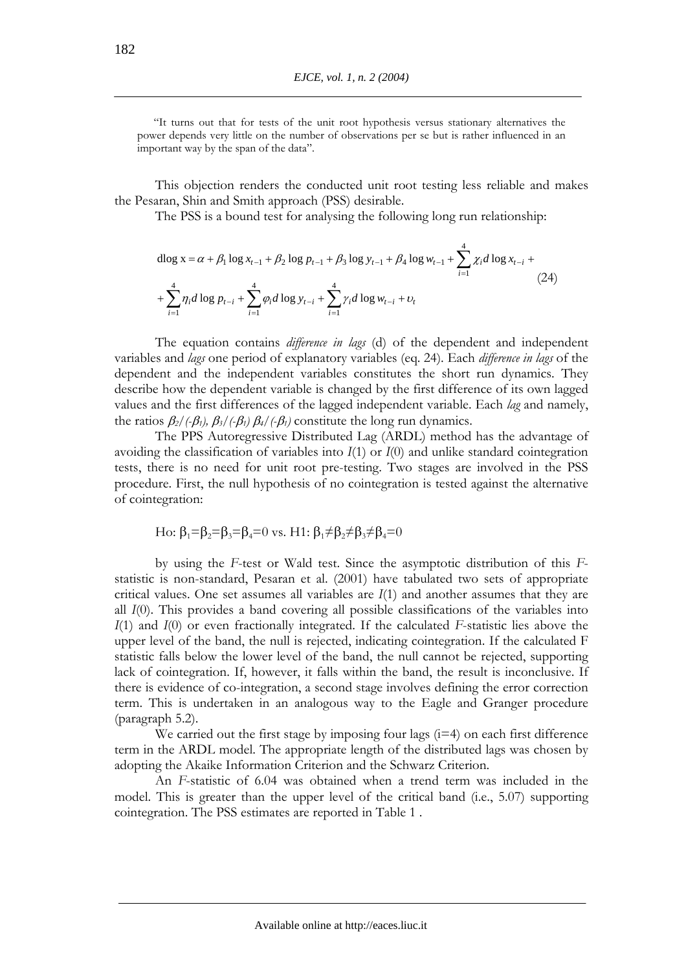"It turns out that for tests of the unit root hypothesis versus stationary alternatives the power depends very little on the number of observations per se but is rather influenced in an important way by the span of the data".

This objection renders the conducted unit root testing less reliable and makes the Pesaran, Shin and Smith approach (PSS) desirable.

The PSS is a bound test for analysing the following long run relationship:

$$
\begin{aligned}\n\text{dlog x} &= \alpha + \beta_1 \log x_{t-1} + \beta_2 \log p_{t-1} + \beta_3 \log y_{t-1} + \beta_4 \log w_{t-1} + \sum_{i=1}^4 \chi_i d \log x_{t-i} + \\
&+ \sum_{i=1}^4 \eta_i d \log p_{t-i} + \sum_{i=1}^4 \varphi_i d \log y_{t-i} + \sum_{i=1}^4 \gamma_i d \log w_{t-i} + \upsilon_t\n\end{aligned} \tag{24}
$$

The equation contains *difference in lags* (d) of the dependent and independent variables and *lags* one period of explanatory variables (eq. 24). Each *difference in lags* of the dependent and the independent variables constitutes the short run dynamics. They describe how the dependent variable is changed by the first difference of its own lagged values and the first differences of the lagged independent variable. Each *lag* and namely, the ratios  $\beta_2$ /(- $\beta_1$ ),  $\beta_3$ /(- $\beta_1$ )  $\beta_4$ /(- $\beta_1$ ) constitute the long run dynamics.

The PPS Autoregressive Distributed Lag (ARDL) method has the advantage of avoiding the classification of variables into *I*(1) or *I*(0) and unlike standard cointegration tests, there is no need for unit root pre-testing. Two stages are involved in the PSS procedure. First, the null hypothesis of no cointegration is tested against the alternative of cointegration:

Ho: 
$$
\beta_1 = \beta_2 = \beta_3 = \beta_4 = 0
$$
 vs. H1:  $\beta_1 \neq \beta_2 \neq \beta_3 \neq \beta_4 = 0$ 

by using the *F*-test or Wald test. Since the asymptotic distribution of this *F*statistic is non-standard, Pesaran et al. (2001) have tabulated two sets of appropriate critical values. One set assumes all variables are *I*(1) and another assumes that they are all *I*(0). This provides a band covering all possible classifications of the variables into *I*(1) and *I*(0) or even fractionally integrated. If the calculated *F*-statistic lies above the upper level of the band, the null is rejected, indicating cointegration. If the calculated F statistic falls below the lower level of the band, the null cannot be rejected, supporting lack of cointegration. If, however, it falls within the band, the result is inconclusive. If there is evidence of co-integration, a second stage involves defining the error correction term. This is undertaken in an analogous way to the Eagle and Granger procedure (paragraph 5.2).

We carried out the first stage by imposing four lags  $(i=4)$  on each first difference term in the ARDL model. The appropriate length of the distributed lags was chosen by adopting the Akaike Information Criterion and the Schwarz Criterion.

An *F*-statistic of 6.04 was obtained when a trend term was included in the model. This is greater than the upper level of the critical band (i.e., 5.07) supporting cointegration. The PSS estimates are reported in Table 1 .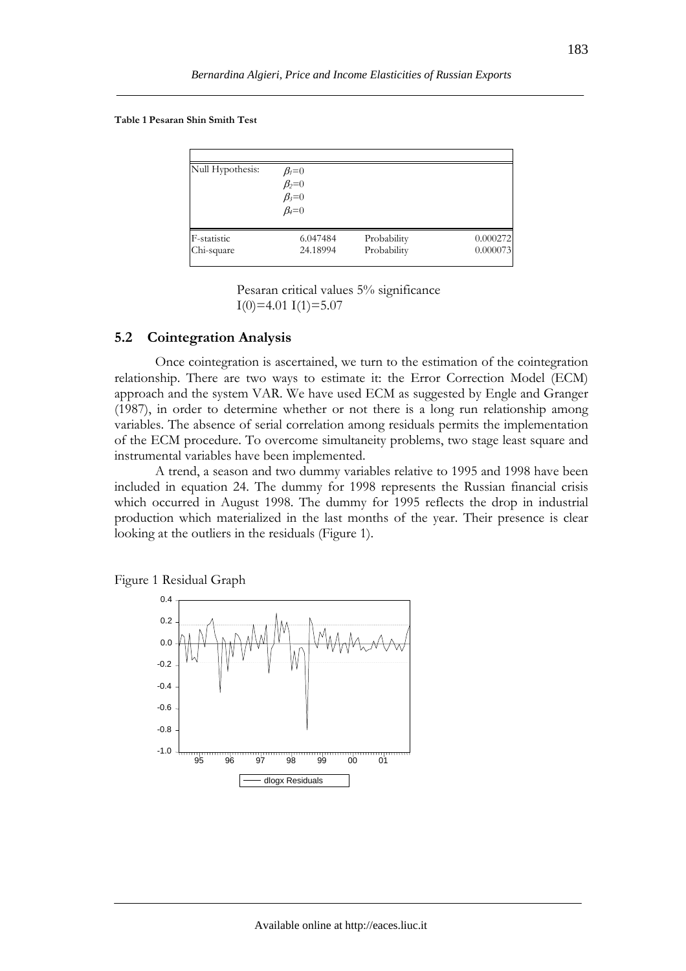**Table 1 Pesaran Shin Smith Test** 

| Null Hypothesis: | $\beta_i=0$<br>$\beta_2=0$<br>$\beta_3=0$<br>$\beta_4=0$ |             |          |
|------------------|----------------------------------------------------------|-------------|----------|
| F-statistic      | 6.047484                                                 | Probability | 0.000272 |
| Chi-square       | 24.18994                                                 | Probability | 0.000073 |

 Pesaran critical values 5% significance  $I(0)=4.01$   $I(1)=5.07$ 

# **5.2 Cointegration Analysis**

Once cointegration is ascertained, we turn to the estimation of the cointegration relationship. There are two ways to estimate it: the Error Correction Model (ECM) approach and the system VAR. We have used ECM as suggested by Engle and Granger (1987), in order to determine whether or not there is a long run relationship among variables. The absence of serial correlation among residuals permits the implementation of the ECM procedure. To overcome simultaneity problems, two stage least square and instrumental variables have been implemented.

A trend, a season and two dummy variables relative to 1995 and 1998 have been included in equation 24. The dummy for 1998 represents the Russian financial crisis which occurred in August 1998. The dummy for 1995 reflects the drop in industrial production which materialized in the last months of the year. Their presence is clear looking at the outliers in the residuals (Figure 1).

Figure 1 Residual Graph

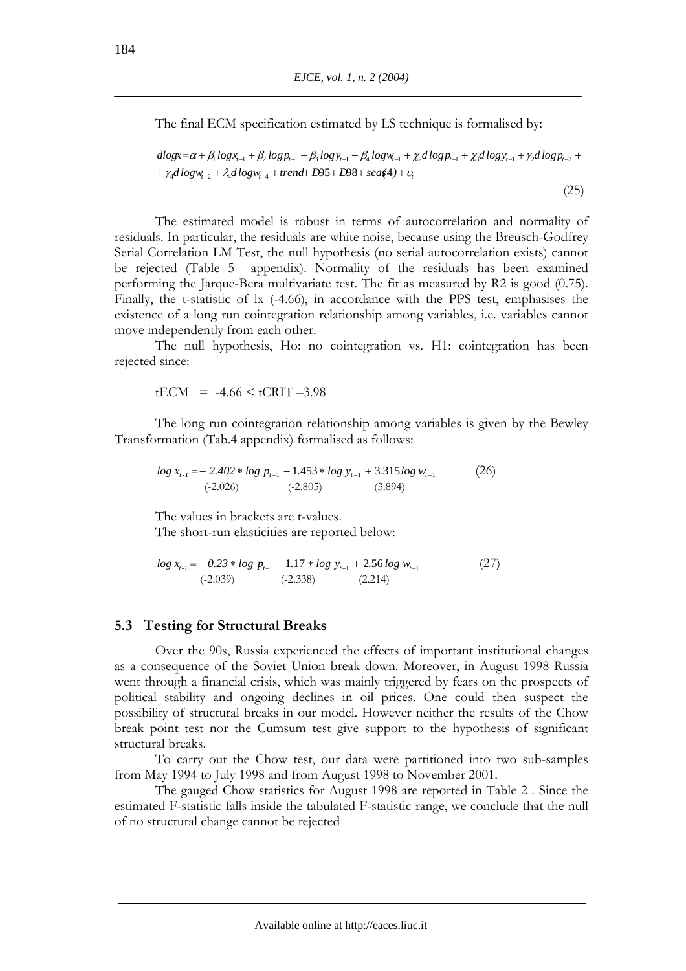The final ECM specification estimated by LS technique is formalised by:

(25)

$$
\begin{aligned} dlogx = & \alpha + \beta_1 log_{x_{t-1}} + \beta_2 log_{P_{t-1}} + \beta_3 log_{y_{t-1}} + \beta_4 log_{W_{t-1}} + \chi_2 dlog_{P_{t-1}} + \chi_3 dlog_{y_{t-1}} + \gamma_2 dlog_{P_{t-2}} + \\ & + \gamma_4 dlog_{W_{t-2}} + \lambda_4 dlog_{W_{t-4}} + trend + D95 + D98 + sea & (4) + v_t \end{aligned}
$$

The estimated model is robust in terms of autocorrelation and normality of residuals. In particular, the residuals are white noise, because using the Breusch-Godfrey Serial Correlation LM Test, the null hypothesis (no serial autocorrelation exists) cannot be rejected (Table 5 appendix). Normality of the residuals has been examined performing the Jarque-Bera multivariate test. The fit as measured by R2 is good (0.75). Finally, the t-statistic of lx (-4.66), in accordance with the PPS test, emphasises the existence of a long run cointegration relationship among variables, i.e. variables cannot move independently from each other.

The null hypothesis, Ho: no cointegration vs. H1: cointegration has been rejected since:

 $tECM = -4.66 \leq tCRIT -3.98$ 

The long run cointegration relationship among variables is given by the Bewley Transformation (Tab.4 appendix) formalised as follows:

$$
log x_{t-1} = -2.402 * log p_{t-1} - 1.453 * log y_{t-1} + 3.315 log w_{t-1}
$$
\n
$$
(-2.026) \qquad (-2.805) \qquad (3.894)
$$
\n
$$
(26)
$$

The values in brackets are t-values. The short-run elasticities are reported below:

$$
\log x_{t-1} = -0.23 * \log p_{t-1} - 1.17 * \log y_{t-1} + 2.56 \log w_{t-1}
$$
\n(27)  
\n(-2.039) (-2.338) (2.214)

## **5.3 Testing for Structural Breaks**

Over the 90s, Russia experienced the effects of important institutional changes as a consequence of the Soviet Union break down. Moreover, in August 1998 Russia went through a financial crisis, which was mainly triggered by fears on the prospects of political stability and ongoing declines in oil prices. One could then suspect the possibility of structural breaks in our model. However neither the results of the Chow break point test nor the Cumsum test give support to the hypothesis of significant structural breaks.

To carry out the Chow test, our data were partitioned into two sub-samples from May 1994 to July 1998 and from August 1998 to November 2001.

The gauged Chow statistics for August 1998 are reported in Table 2 . Since the estimated F-statistic falls inside the tabulated F-statistic range, we conclude that the null of no structural change cannot be rejected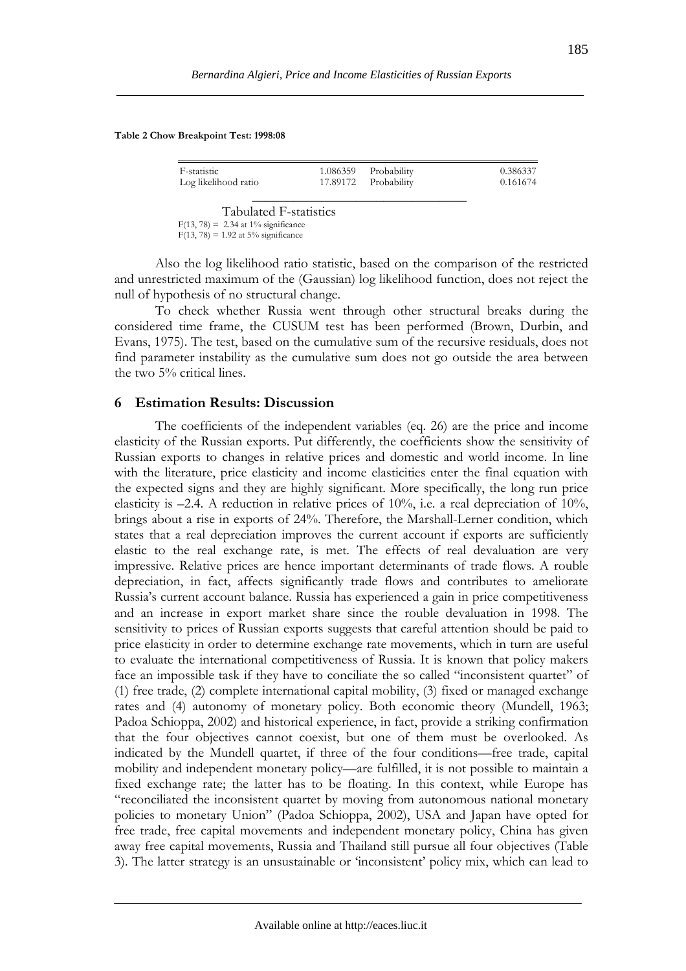#### **Table 2 Chow Breakpoint Test: 1998:08**

| F-statistic                           | 1.086359 | Probability | 0.386337 |
|---------------------------------------|----------|-------------|----------|
| Log likelihood ratio                  | 17.89172 | Probability | 0.161674 |
|                                       |          |             |          |
| Tabulated F-statistics                |          |             |          |
| $F(13, 78) = 2.34$ at 1% significance |          |             |          |
| $F(13, 78) = 1.92$ at 5% significance |          |             |          |

Also the log likelihood ratio statistic, based on the comparison of the restricted and unrestricted maximum of the (Gaussian) log likelihood function, does not reject the null of hypothesis of no structural change.

To check whether Russia went through other structural breaks during the considered time frame, the CUSUM test has been performed (Brown, Durbin, and Evans, 1975). The test, based on the cumulative sum of the recursive residuals, does not find parameter instability as the cumulative sum does not go outside the area between the two 5% critical lines.

#### **6 Estimation Results: Discussion**

The coefficients of the independent variables (eq. 26) are the price and income elasticity of the Russian exports. Put differently, the coefficients show the sensitivity of Russian exports to changes in relative prices and domestic and world income. In line with the literature, price elasticity and income elasticities enter the final equation with the expected signs and they are highly significant. More specifically, the long run price elasticity is  $-2.4$ . A reduction in relative prices of 10%, i.e. a real depreciation of 10%, brings about a rise in exports of 24%. Therefore, the Marshall-Lerner condition, which states that a real depreciation improves the current account if exports are sufficiently elastic to the real exchange rate, is met. The effects of real devaluation are very impressive. Relative prices are hence important determinants of trade flows. A rouble depreciation, in fact, affects significantly trade flows and contributes to ameliorate Russia's current account balance. Russia has experienced a gain in price competitiveness and an increase in export market share since the rouble devaluation in 1998. The sensitivity to prices of Russian exports suggests that careful attention should be paid to price elasticity in order to determine exchange rate movements, which in turn are useful to evaluate the international competitiveness of Russia. It is known that policy makers face an impossible task if they have to conciliate the so called "inconsistent quartet" of (1) free trade, (2) complete international capital mobility, (3) fixed or managed exchange rates and (4) autonomy of monetary policy. Both economic theory (Mundell, 1963; Padoa Schioppa, 2002) and historical experience, in fact, provide a striking confirmation that the four objectives cannot coexist, but one of them must be overlooked. As indicated by the Mundell quartet, if three of the four conditions—free trade, capital mobility and independent monetary policy—are fulfilled, it is not possible to maintain a fixed exchange rate; the latter has to be floating. In this context, while Europe has "reconciliated the inconsistent quartet by moving from autonomous national monetary policies to monetary Union" (Padoa Schioppa, 2002), USA and Japan have opted for free trade, free capital movements and independent monetary policy, China has given away free capital movements, Russia and Thailand still pursue all four objectives (Table 3). The latter strategy is an unsustainable or 'inconsistent' policy mix, which can lead to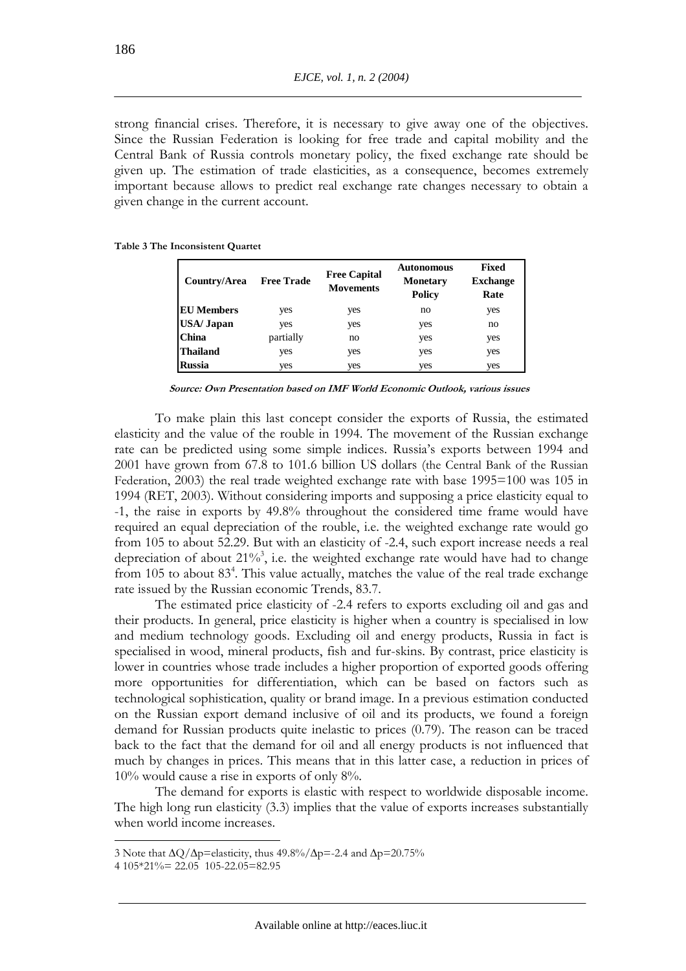strong financial crises. Therefore, it is necessary to give away one of the objectives. Since the Russian Federation is looking for free trade and capital mobility and the Central Bank of Russia controls monetary policy, the fixed exchange rate should be given up. The estimation of trade elasticities, as a consequence, becomes extremely important because allows to predict real exchange rate changes necessary to obtain a given change in the current account.

**Table 3 The Inconsistent Quartet** 

| Country/Area       | <b>Free Trade</b> | <b>Free Capital</b><br><b>Movements</b> | <b>Autonomous</b><br><b>Monetary</b><br><b>Policy</b> | <b>Fixed</b><br><b>Exchange</b><br>Rate |
|--------------------|-------------------|-----------------------------------------|-------------------------------------------------------|-----------------------------------------|
| <b>EU</b> Members  | yes               | yes                                     | no                                                    | yes                                     |
| <b>USA</b> / Japan | yes               | yes                                     | yes                                                   | no                                      |
| <b>China</b>       | partially         | no                                      | yes                                                   | yes                                     |
| Thailand           | yes               | yes                                     | yes                                                   | yes                                     |
| <b>Russia</b>      | yes               | yes                                     | yes                                                   | yes                                     |

 **Source: Own Presentation based on IMF World Economic Outlook, various issues** 

To make plain this last concept consider the exports of Russia, the estimated elasticity and the value of the rouble in 1994. The movement of the Russian exchange rate can be predicted using some simple indices. Russia's exports between 1994 and 2001 have grown from 67.8 to 101.6 billion US dollars (the Central Bank of the Russian Federation, 2003) the real trade weighted exchange rate with base 1995=100 was 105 in 1994 (RET, 2003). Without considering imports and supposing a price elasticity equal to -1, the raise in exports by 49.8% throughout the considered time frame would have required an equal depreciation of the rouble, i.e. the weighted exchange rate would go from 105 to about 52.29. But with an elasticity of -2.4, such export increase needs a real depreciation of about  $21\%$ <sup>3</sup>, i.e. the weighted exchange rate would have had to change from 105 to about 83<sup>4</sup>. This value actually, matches the value of the real trade exchange rate issued by the Russian economic Trends, 83.7.

The estimated price elasticity of -2.4 refers to exports excluding oil and gas and their products. In general, price elasticity is higher when a country is specialised in low and medium technology goods. Excluding oil and energy products, Russia in fact is specialised in wood, mineral products, fish and fur-skins. By contrast, price elasticity is lower in countries whose trade includes a higher proportion of exported goods offering more opportunities for differentiation, which can be based on factors such as technological sophistication, quality or brand image. In a previous estimation conducted on the Russian export demand inclusive of oil and its products, we found a foreign demand for Russian products quite inelastic to prices (0.79). The reason can be traced back to the fact that the demand for oil and all energy products is not influenced that much by changes in prices. This means that in this latter case, a reduction in prices of 10% would cause a rise in exports of only 8%.

The demand for exports is elastic with respect to worldwide disposable income. The high long run elasticity (3.3) implies that the value of exports increases substantially when world income increases.

 $\overline{a}$ 

<sup>3</sup> Note that  $\Delta Q/\Delta p$ =elasticity, thus 49.8%/ $\Delta p$ =-2.4 and  $\Delta p$ =20.75%

<sup>4 105\*21%= 22.05 105-22.05=82.95</sup>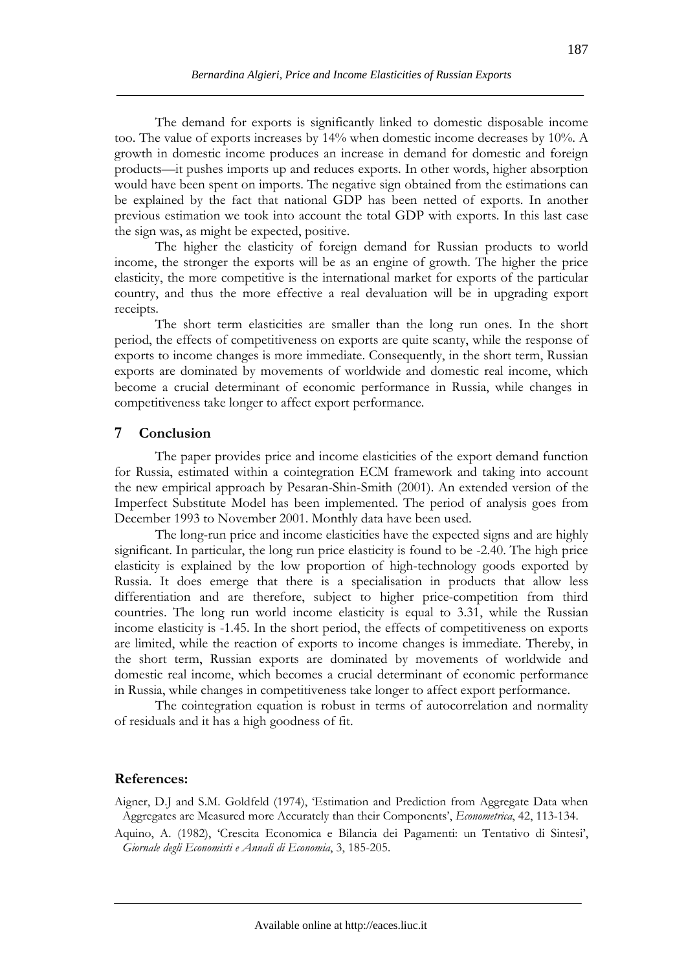The demand for exports is significantly linked to domestic disposable income too. The value of exports increases by 14% when domestic income decreases by 10%. A growth in domestic income produces an increase in demand for domestic and foreign products—it pushes imports up and reduces exports. In other words, higher absorption would have been spent on imports. The negative sign obtained from the estimations can be explained by the fact that national GDP has been netted of exports. In another previous estimation we took into account the total GDP with exports. In this last case the sign was, as might be expected, positive.

The higher the elasticity of foreign demand for Russian products to world income, the stronger the exports will be as an engine of growth. The higher the price elasticity, the more competitive is the international market for exports of the particular country, and thus the more effective a real devaluation will be in upgrading export receipts.

The short term elasticities are smaller than the long run ones. In the short period, the effects of competitiveness on exports are quite scanty, while the response of exports to income changes is more immediate. Consequently, in the short term, Russian exports are dominated by movements of worldwide and domestic real income, which become a crucial determinant of economic performance in Russia, while changes in competitiveness take longer to affect export performance.

# **7 Conclusion**

The paper provides price and income elasticities of the export demand function for Russia, estimated within a cointegration ECM framework and taking into account the new empirical approach by Pesaran-Shin-Smith (2001). An extended version of the Imperfect Substitute Model has been implemented. The period of analysis goes from December 1993 to November 2001. Monthly data have been used.

The long-run price and income elasticities have the expected signs and are highly significant. In particular, the long run price elasticity is found to be -2.40. The high price elasticity is explained by the low proportion of high-technology goods exported by Russia. It does emerge that there is a specialisation in products that allow less differentiation and are therefore, subject to higher price-competition from third countries. The long run world income elasticity is equal to 3.31, while the Russian income elasticity is -1.45. In the short period, the effects of competitiveness on exports are limited, while the reaction of exports to income changes is immediate. Thereby, in the short term, Russian exports are dominated by movements of worldwide and domestic real income, which becomes a crucial determinant of economic performance in Russia, while changes in competitiveness take longer to affect export performance.

The cointegration equation is robust in terms of autocorrelation and normality of residuals and it has a high goodness of fit.

# **References:**

Aigner, D.J and S.M. Goldfeld (1974), 'Estimation and Prediction from Aggregate Data when Aggregates are Measured more Accurately than their Components', *Econometrica*, 42, 113-134.

Aquino, A. (1982), 'Crescita Economica e Bilancia dei Pagamenti: un Tentativo di Sintesi', *Giornale degli Economisti e Annali di Economia*, 3, 185-205.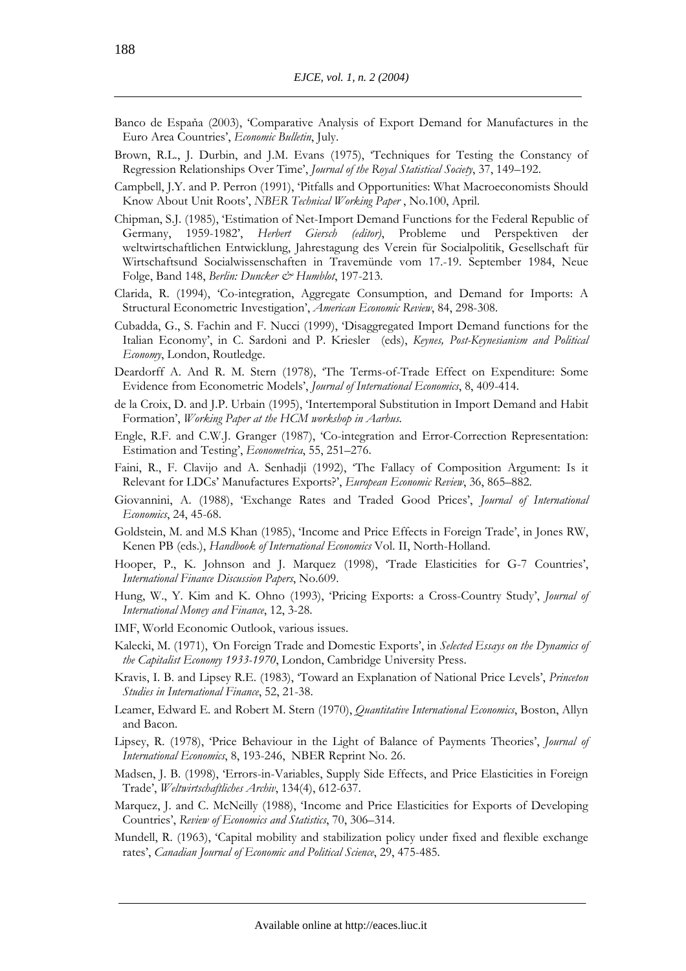- Banco de Espaňa (2003), 'Comparative Analysis of Export Demand for Manufactures in the Euro Area Countries', *Economic Bulletin*, July.
- Brown, R.L., J. Durbin, and J.M. Evans (1975), 'Techniques for Testing the Constancy of Regression Relationships Over Time', *Journal of the Royal Statistical Society*, 37, 149–192.
- Campbell, J.Y. and P. Perron (1991), 'Pitfalls and Opportunities: What Macroeconomists Should Know About Unit Roots', *NBER Technical Working Paper* , No.100, April.
- Chipman, S.J. (1985), 'Estimation of Net-Import Demand Functions for the Federal Republic of Germany, 1959-1982', *Herbert Giersch (editor)*, Probleme und Perspektiven der weltwirtschaftlichen Entwicklung, Jahrestagung des Verein für Socialpolitik, Gesellschaft für Wirtschaftsund Socialwissenschaften in Travemünde vom 17.-19. September 1984, Neue Folge, Band 148, *Berlin: Duncker & Humblot*, 197-213.
- Clarida, R. (1994), 'Co-integration, Aggregate Consumption, and Demand for Imports: A Structural Econometric Investigation', *American Economic Review*, 84, 298-308.
- Cubadda, G., S. Fachin and F. Nucci (1999), 'Disaggregated Import Demand functions for the Italian Economy', in C. Sardoni and P. Kriesler (eds), *Keynes, Post-Keynesianism and Political Economy*, London, Routledge.
- Deardorff A. And R. M. Stern (1978), 'The Terms-of-Trade Effect on Expenditure: Some Evidence from Econometric Models', *Journal of International Economics*, 8, 409-414.
- de la Croix, D. and J.P. Urbain (1995), 'Intertemporal Substitution in Import Demand and Habit Formation', *Working Paper at the HCM workshop in Aarhus*.
- Engle, R.F. and C.W.J. Granger (1987), 'Co-integration and Error-Correction Representation: Estimation and Testing', *Econometrica*, 55, 251–276.
- Faini, R., F. Clavijo and A. Senhadji (1992), 'The Fallacy of Composition Argument: Is it Relevant for LDCs' Manufactures Exports?', *European Economic Review*, 36, 865–882.
- Giovannini, A. (1988), 'Exchange Rates and Traded Good Prices', *Journal of International Economics*, 24, 45-68.
- Goldstein, M. and M.S Khan (1985), 'Income and Price Effects in Foreign Trade', in Jones RW, Kenen PB (eds.), *Handbook of International Economics* Vol. II, North-Holland.
- Hooper, P., K. Johnson and J. Marquez (1998), 'Trade Elasticities for G-7 Countries', *International Finance Discussion Papers*, No.609.
- Hung, W., Y. Kim and K. Ohno (1993), 'Pricing Exports: a Cross-Country Study', *Journal of International Money and Finance*, 12, 3-28.
- IMF, World Economic Outlook, various issues.
- Kalecki, M. (1971), *'*On Foreign Trade and Domestic Exports', in *Selected Essays on the Dynamics of the Capitalist Economy 1933-1970*, London, Cambridge University Press.
- Kravis, I. B. and Lipsey R.E. (1983), 'Toward an Explanation of National Price Levels', *Princeton Studies in International Finance*, 52, 21-38.
- Leamer, Edward E. and Robert M. Stern (1970), *Quantitative International Economics*, Boston, Allyn and Bacon.
- Lipsey, R. (1978), 'Price Behaviour in the Light of Balance of Payments Theories', *Journal of International Economics*, 8, 193-246, NBER Reprint No. 26.
- Madsen, J. B. (1998), 'Errors-in-Variables, Supply Side Effects, and Price Elasticities in Foreign Trade', *Weltwirtschaftliches Archiv*, 134(4), 612-637.
- Marquez, J. and C. McNeilly (1988), 'Income and Price Elasticities for Exports of Developing Countries', *Review of Economics and Statistics*, 70, 306–314.
- Mundell, R. (1963), 'Capital mobility and stabilization policy under fixed and flexible exchange rates', *Canadian Journal of Economic and Political Science*, 29, 475-485.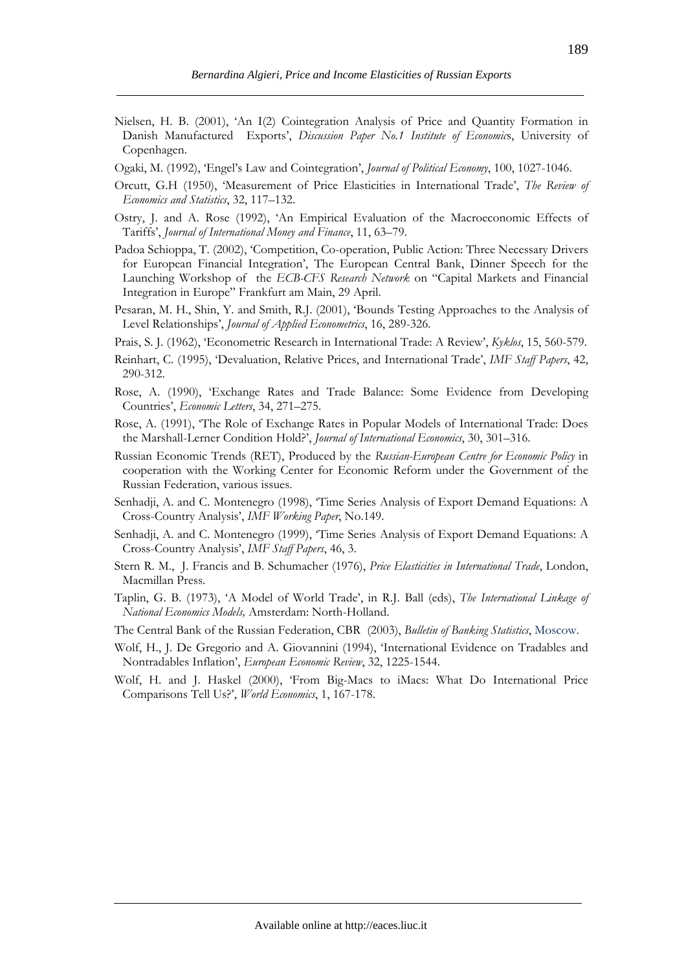- Nielsen, H. B. (2001), 'An I(2) Cointegration Analysis of Price and Quantity Formation in Danish Manufactured Exports', *Discussion Paper No.1 Institute of Economic*s, University of Copenhagen.
- Ogaki, M. (1992), 'Engel's Law and Cointegration', *Journal of Political Economy*, 100, 1027-1046.
- Orcutt, G.H (1950), 'Measurement of Price Elasticities in International Trade', *The Review of Economics and Statistics*, 32, 117–132.
- Ostry, J. and A. Rose (1992), 'An Empirical Evaluation of the Macroeconomic Effects of Tariffs', *Journal of International Money and Finance*, 11, 63–79.
- Padoa Schioppa, T. (2002), 'Competition, Co-operation, Public Action: Three Necessary Drivers for European Financial Integration', The European Central Bank, Dinner Speech for the Launching Workshop of the *ECB-CFS Research Network* on "Capital Markets and Financial Integration in Europe" Frankfurt am Main, 29 April.
- Pesaran, M. H., Shin, Y. and Smith, R.J. (2001), 'Bounds Testing Approaches to the Analysis of Level Relationships', *Journal of Applied Econometrics*, 16, 289-326.
- Prais, S. J. (1962), 'Econometric Research in International Trade: A Review', *Kyklos*, 15, 560-579.
- Reinhart, C. (1995), 'Devaluation, Relative Prices, and International Trade', *IMF Staff Papers*, 42, 290-312.
- Rose, A. (1990), 'Exchange Rates and Trade Balance: Some Evidence from Developing Countries', *Economic Letters*, 34, 271–275.
- Rose, A. (1991), 'The Role of Exchange Rates in Popular Models of International Trade: Does the Marshall-Lerner Condition Hold?', *Journal of International Economics*, 30, 301–316.
- Russian Economic Trends (RET), Produced by the *Russian-European Centre for Economic Policy* in cooperation with the Working Center for Economic Reform under the Government of the Russian Federation, various issues.
- Senhadji, A. and C. Montenegro (1998), 'Time Series Analysis of Export Demand Equations: A Cross-Country Analysis', *IMF Working Paper*, No.149.
- Senhadji, A. and C. Montenegro (1999), 'Time Series Analysis of Export Demand Equations: A Cross-Country Analysis', *IMF Staff Papers*, 46, 3.
- Stern R. M., J. Francis and B. Schumacher (1976), *Price Elasticities in International Trade*, London, Macmillan Press.
- Taplin, G. B. (1973), 'A Model of World Trade', in R.J. Ball (eds), *The International Linkage of National Economics Models,* Amsterdam: North-Holland.
- The Central Bank of the Russian Federation, CBR (2003), *Bulletin of Banking Statistics*, Moscow.
- Wolf, H., J. De Gregorio and A. Giovannini (1994), 'International Evidence on Tradables and Nontradables Inflation', *European Economic Review*, 32, 1225-1544.
- Wolf, H. and J. Haskel (2000), 'From Big-Macs to iMacs: What Do International Price Comparisons Tell Us?', *World Economics*, 1, 167-178.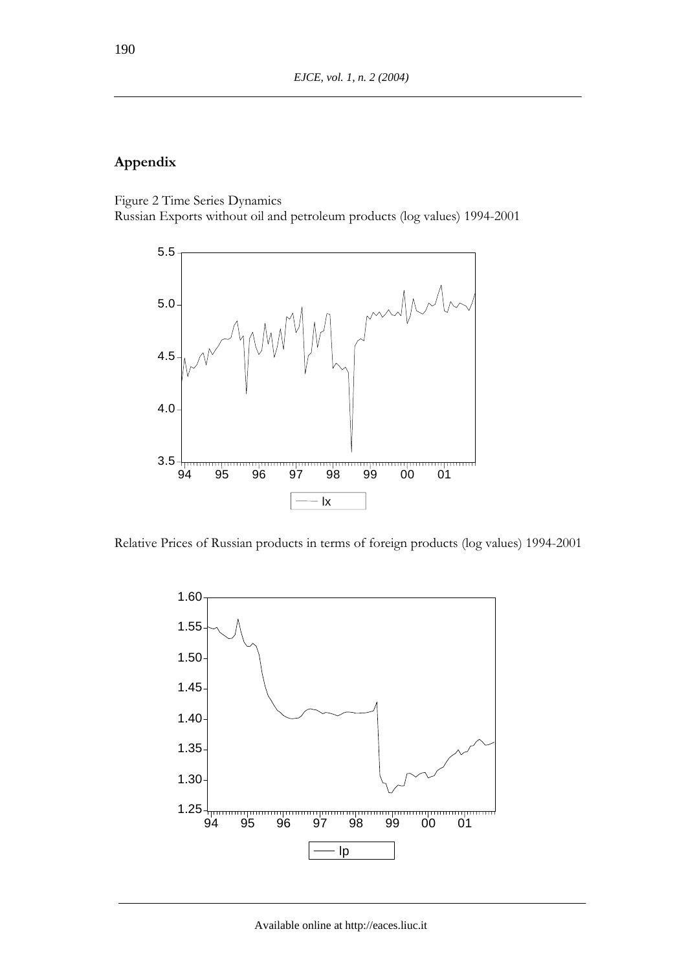# **Appendix**

Figure 2 Time Series Dynamics Russian Exports without oil and petroleum products (log values) 1994-2001



Relative Prices of Russian products in terms of foreign products (log values) 1994-2001

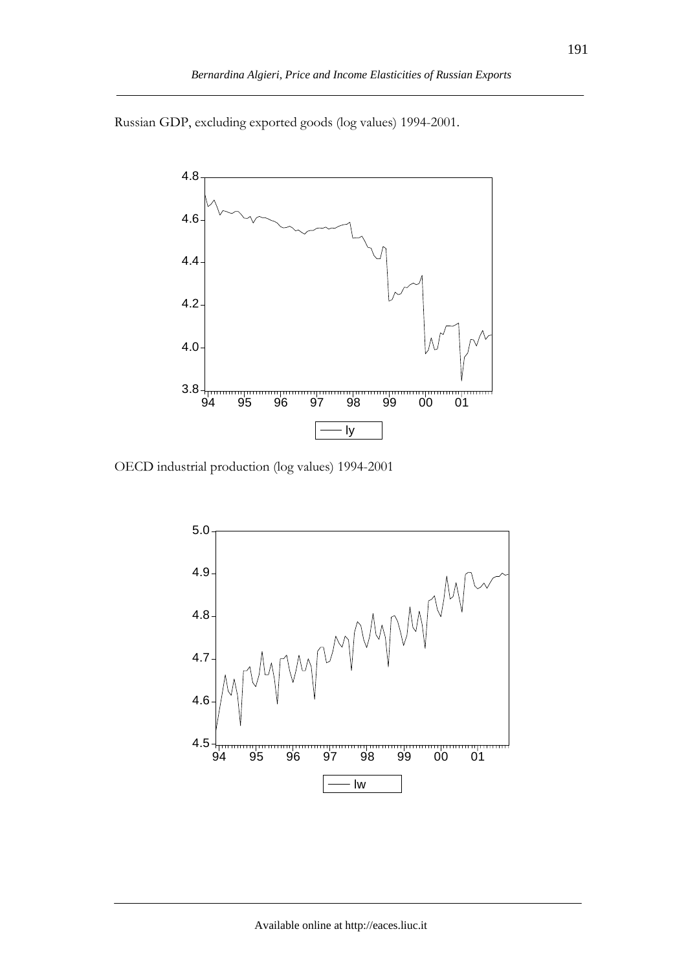Russian GDP, excluding exported goods (log values) 1994-2001.



OECD industrial production (log values) 1994-2001

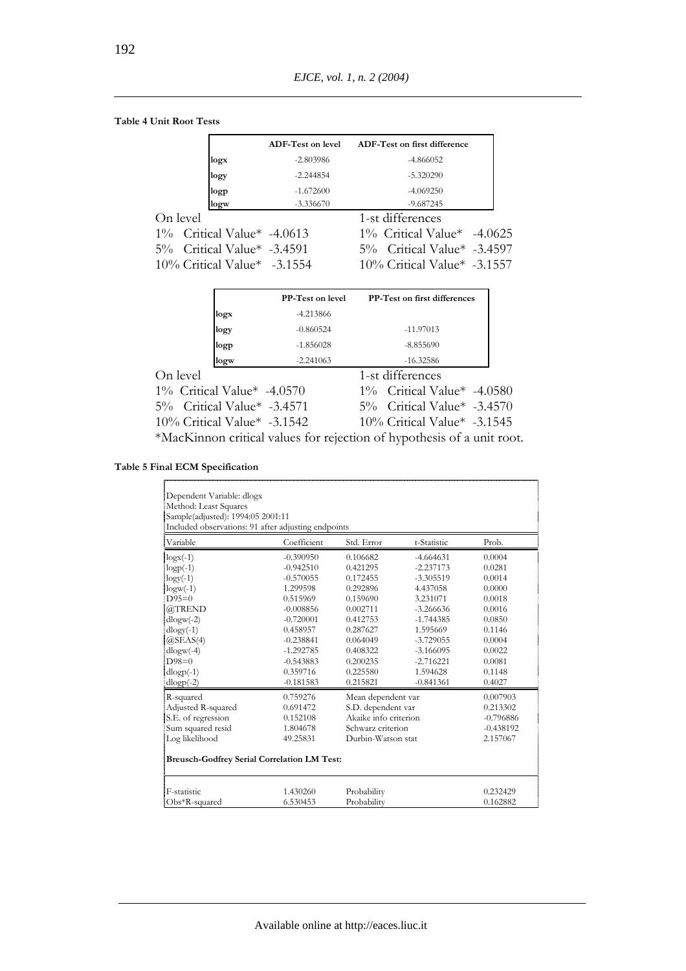#### **Table 4 Unit Root Tests**

|                               | <b>ADF-Test on level</b> | ADF-Test on first difference   |
|-------------------------------|--------------------------|--------------------------------|
| logx                          | $-2.803986$              | $-4.866052$                    |
| logy                          | $-2.244854$              | $-5.320290$                    |
| logp                          | $-1.672600$              | $-4.069250$                    |
| logw                          | $-3.336670$              | $-9.687245$                    |
| On level                      |                          | 1-st differences               |
| $1\%$ Critical Value* -4.0613 |                          | $1\%$ Critical Value* -4.0625  |
| 5% Critical Value* -3.4591    |                          | 5% Critical Value* -3.4597     |
| 10% Critical Value* -3.1554   |                          | $10\%$ Critical Value* -3.1557 |
|                               |                          |                                |

|                             | <b>PP-Test on level</b> | PP-Test on first differences                                           |  |
|-----------------------------|-------------------------|------------------------------------------------------------------------|--|
| logx                        | $-4.213866$             |                                                                        |  |
| logy                        | $-0.860524$             | $-11.97013$                                                            |  |
| logp                        | $-1.856028$             | $-8.855690$                                                            |  |
| logw                        | $-2.241063$             | $-16.32586$                                                            |  |
| On level                    |                         | 1-st differences                                                       |  |
| 1% Critical Value* -4.0570  |                         | 1% Critical Value* -4.0580                                             |  |
| 5% Critical Value* -3.4571  |                         | 5% Critical Value* -3.4570                                             |  |
| 10% Critical Value* -3.1542 |                         | $10\%$ Critical Value* -3.1545                                         |  |
|                             |                         | *MacKinnon critical values for rejection of hypothesis of a unit root. |  |

**Table 5 Final ECM Specification**

| Dependent Variable: dlogx                           |             |                       |             |             |  |
|-----------------------------------------------------|-------------|-----------------------|-------------|-------------|--|
| Method: Least Squares                               |             |                       |             |             |  |
| Sample(adjusted): 1994:05 2001:11                   |             |                       |             |             |  |
| Included observations: 91 after adjusting endpoints |             |                       |             |             |  |
| Variable                                            | Coefficient | Std. Error            | t-Statistic | Prob.       |  |
| $\log x(-1)$                                        | $-0.390950$ | 0.106682              | $-4.664631$ | 0.0004      |  |
| $logp(-1)$                                          | $-0.942510$ | 0.421295              | $-2.237173$ | 0.0281      |  |
| $logy(-1)$                                          | $-0.570055$ | 0.172455              | $-3.305519$ | 0.0014      |  |
| $logw(-1)$                                          | 1.299598    | 0.292896              | 4.437058    | 0.0000      |  |
| $D95=0$                                             | 0.515969    | 0.159690              | 3.231071    | 0.0018      |  |
| @TREND                                              | $-0.008856$ | 0.002711              | $-3.266636$ | 0.0016      |  |
| $dlogw(-2)$                                         | $-0.720001$ | 0.412753              | $-1.744385$ | 0.0850      |  |
| $dlogy(-1)$                                         | 0.458957    | 0.287627              | 1.595669    | 0.1146      |  |
| @SEAS(4)                                            | $-0.238841$ | 0.064049              | $-3.729055$ | 0.0004      |  |
| $dlogw(-4)$                                         | $-1.292785$ | 0.408322              | $-3.166095$ | 0.0022      |  |
| $D98=0$                                             | $-0.543883$ | 0.200235              | $-2.716221$ | 0.0081      |  |
| $dlogp(-1)$                                         | 0.359716    | 0.225580              | 1.594628    | 0.1148      |  |
| $dlogp(-2)$                                         | $-0.181583$ | 0.215821              | $-0.841361$ | 0.4027      |  |
| R-squared                                           | 0.759276    | Mean dependent var    |             | 0.007903    |  |
| Adjusted R-squared                                  | 0.691472    | S.D. dependent var    |             | 0.213302    |  |
| S.E. of regression                                  | 0.152108    | Akaike info criterion |             | $-0.796886$ |  |
| Sum squared resid                                   | 1.804678    | Schwarz criterion     |             | $-0.438192$ |  |
| Log likelihood                                      | 49.25831    | Durbin-Watson stat    |             | 2.157067    |  |
| <b>Breusch-Godfrey Serial Correlation LM Test:</b>  |             |                       |             |             |  |
| F-statistic                                         | 1.430260    | Probability           |             | 0.232429    |  |
| Obs*R-squared                                       | 6.530453    | Probability           |             | 0.162882    |  |